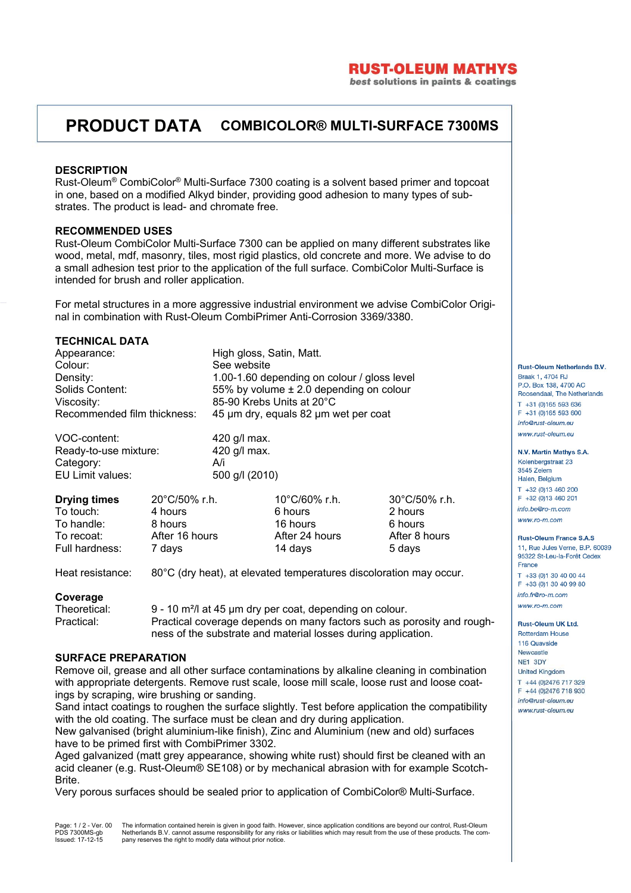## **RUST-OLEUM MATHYS**

best solutions in paints & coatings

# **PRODUCT DATA COMBICOLOR® MULTI-SURFACE 7300MS**

### **DESCRIPTION**

Rust-Oleum® CombiColor® Multi-Surface 7300 coating is a solvent based primer and topcoat in one, based on a modified Alkyd binder, providing good adhesion to many types of substrates. The product is lead- and chromate free.

### **RECOMMENDED USES**

Rust-Oleum CombiColor Multi-Surface 7300 can be applied on many different substrates like wood, metal, mdf, masonry, tiles, most rigid plastics, old concrete and more. We advise to do a small adhesion test prior to the application of the full surface. CombiColor Multi-Surface is intended for brush and roller application.

For metal structures in a more aggressive industrial environment we advise CombiColor Original in combination with Rust-Oleum CombiPrimer Anti-Corrosion 3369/3380.

## **TECHNICAL DATA**

Appearance: High gloss, Satin, Matt. Colour: See website Density: 1.00-1.60 depending on colour / gloss level Solids Content: 55% by volume ± 2.0 depending on colour Viscosity: 85-90 Krebs Units at 20°C

Recommended film thickness: 45 µm dry, equals 82 µm wet per coat VOC-content: 420 g/l max.

Ready-to-use mixture: 420 g/l max. Category: A/i EU Limit values: 500 g/l (2010)

| <b>Drying times</b> | $20^{\circ}$ C/50% r.h. | $10^{\circ}$ C/60% r.h. | $30^{\circ}$ C/50% r.h. |
|---------------------|-------------------------|-------------------------|-------------------------|
| To touch:           | 4 hours                 | 6 hours                 | 2 hours                 |
| To handle:          | 8 hours                 | 16 hours                | 6 hours                 |
| To recoat:          | After 16 hours          | After 24 hours          | After 8 hours           |
| Full hardness:      | 7 days                  | 14 days                 | 5 days                  |

Heat resistance: 80°C (dry heat), at elevated temperatures discoloration may occur.

## **Coverage**

Theoretical: 9 - 10 m<sup>2</sup>/l at 45 µm dry per coat, depending on colour. Practical: Practical coverage depends on many factors such as porosity and roughness of the substrate and material losses during application.

### **SURFACE PREPARATION**

Remove oil, grease and all other surface contaminations by alkaline cleaning in combination with appropriate detergents. Remove rust scale, loose mill scale, loose rust and loose coatings by scraping, wire brushing or sanding.

Sand intact coatings to roughen the surface slightly. Test before application the compatibility with the old coating. The surface must be clean and dry during application.

New galvanised (bright aluminium-like finish), Zinc and Aluminium (new and old) surfaces have to be primed first with CombiPrimer 3302.

Aged galvanized (matt grey appearance, showing white rust) should first be cleaned with an acid cleaner (e.g. Rust-Oleum® SE108) or by mechanical abrasion with for example Scotch-Brite.

Very porous surfaces should be sealed prior to application of CombiColor® Multi-Surface.

Page: 1 / 2 - Ver. 00 PDS 7300MS-gb Issued: 17-12-15 The information contained herein is given in good faith. However, since application conditions are beyond our control, Rust-Oleum Netherlands B.V. cannot assume responsibility for any risks or liabilities which may result from the use of these products. The com-pany reserves the right to modify data without prior notice.

#### Rust-Oleum Netherlands B.V. Braak 1, 4704 BJ P.O. Box 138, 4700 AC Roosendaal, The Netherlands T +31 (0)165 593 636 F +31 (0)165 593 600 info@rust-oleum.eu www.rust-oleum.eu

N.V. Martin Mathys S.A.

Kolenbergstraat 23 3545 Zelem Halen, Belgium T +32 (0)13 460 200 F +32 (0)13 460 201 info.be@ro-m.com www.ro-m.com

**Rust-Oleum France S.A.S** 11, Rue Jules Verne, B.P. 60039 95322 St-Leu-la-Forêt Cedex France T +33 (0)1 30 40 00 44 F +33 (0)1 30 40 99 80 info.fr@ro-m.com

www.ro-m.com

Rust-Oleum UK Ltd. **Rotterdam House** 116 Quayside Newcastle NE1 3DY **Linited Kingdom** T +44 (0) 2476 717 329

F +44 (0)2476 718 930 info@rust-oleum.eu www.rust-oleum.eu